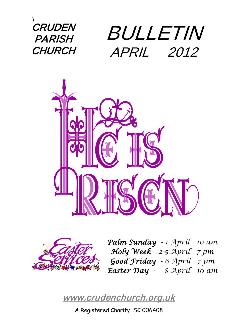) CRUDEN **PARISH CHURCH** 

# BULLETIN APRIL 2012





*Palm Sunday - 1 April 10 am Holy Week – 2-5 April 7 pm Good Friday - 6 April 7 pm Easter Day - 8 April 10 am*

[www.crudenchurch.org.uk](http://www.crudenchurch.org.uk/) 

A Registered Charity SC 006408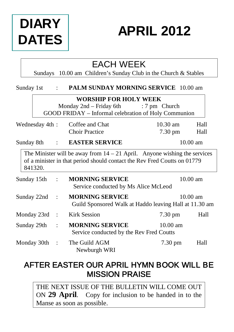# **DIARY DATES**

## **APRIL 2012**

### EACH WEEK

Sundays 10.00 am Children's Sunday Club in the Church & Stables

| Sunday 1st |                | $\ddot{\phantom{a}}$ | <b>PALM SUNDAY MORNING SERVICE</b> 10.00 am                                                                                                             |                         |                    |
|------------|----------------|----------------------|---------------------------------------------------------------------------------------------------------------------------------------------------------|-------------------------|--------------------|
|            |                |                      | <b>WORSHIP FOR HOLY WEEK</b><br>Monday 2nd – Friday 6th<br>GOOD FRIDAY – Informal celebration of Holy Communion                                         | $: 7 \text{ pm}$ Church |                    |
|            | Wednesday 4th: |                      | Coffee and Chat<br><b>Choir Practice</b>                                                                                                                | $10.30$ am<br>7.30 pm   | Hall<br>Hall       |
| Sunday 8th |                | $\mathbf{1}$         | <b>EASTER SERVICE</b>                                                                                                                                   |                         | $10.00$ am         |
|            | 841320.        |                      | The Minister will be away from $14 - 21$ April. Anyone wishing the services<br>of a minister in that period should contact the Rev Fred Coutts on 01779 |                         |                    |
|            | Sunday 15th    |                      | <b>MORNING SERVICE</b><br>Service conducted by Ms Alice McLeod                                                                                          |                         | $10.00$ am         |
|            | Sunday 22nd    |                      | <b>MORNING SERVICE</b><br>Guild Sponsored Walk at Haddo leaving Hall at 11.30 am                                                                        |                         | $10.00 \text{ am}$ |
|            | Monday 23rd    | $\ddot{\phantom{a}}$ | <b>Kirk Session</b>                                                                                                                                     | 7.30 pm                 | Hall               |
|            | Sunday 29th    | $\ddot{\phantom{a}}$ | <b>MORNING SERVICE</b><br>Service conducted by the Rev Fred Coutts                                                                                      | $10.00$ am              |                    |
|            | Monday 30th    |                      | The Guild AGM<br>Newburgh WRI                                                                                                                           | 7.30 pm                 | Hall               |

### AFTER EASTER OUR APRIL HYMN BOOK WILL BE MISSION PRAISE

THE NEXT ISSUE OF THE BULLETIN WILL COME OUT ON **29 April**. Copy for inclusion to be handed in to the Manse as soon as possible.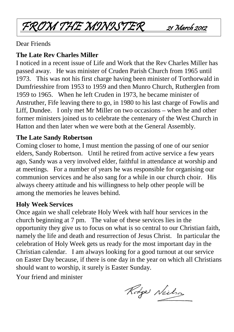FROM THE MONOSTER 21 March 2012

Dear Friends

#### **The Late Rev Charles Miller**

I noticed in a recent issue of Life and Work that the Rev Charles Miller has passed away. He was minister of Cruden Parish Church from 1965 until 1973. This was not his first charge having been minister of Torthorwald in Dumfriesshire from 1953 to 1959 and then Munro Church, Rutherglen from 1959 to 1965. When he left Cruden in 1973, he became minister of Anstruther, Fife leaving there to go, in 1980 to his last charge of Fowlis and Liff, Dundee. I only met Mr Miller on two occasions – when he and other former ministers joined us to celebrate the centenary of the West Church in Hatton and then later when we were both at the General Assembly.

#### **The Late Sandy Robertson**

Coming closer to home, I must mention the passing of one of our senior elders, Sandy Robertson. Until he retired from active service a few years ago, Sandy was a very involved elder, faithful in attendance at worship and at meetings. For a number of years he was responsible for organising our communion services and he also sang for a while in our church choir. His always cheery attitude and his willingness to help other people will be among the memories he leaves behind.

#### **Holy Week Services**

Once again we shall celebrate Holy Week with half hour services in the church beginning at 7 pm. The value of these services lies in the opportunity they give us to focus on what is so central to our Christian faith, namely the life and death and resurrection of Jesus Christ. In particular the celebration of Holy Week gets us ready for the most important day in the Christian calendar. I am always looking for a good turnout at our service on Easter Day because, if there is one day in the year on which all Christians should want to worship, it surely is Easter Sunday.

Your friend and minister

Rodge Neilson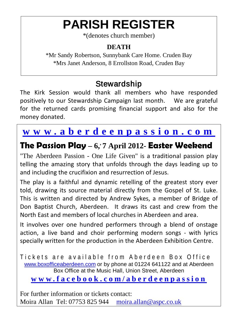## **PARISH REGISTER**

\*(denotes church member)

#### **DEATH**

\*Mr Sandy Robertson, Sunnybank Care Home. Cruden Bay \*Mrs Janet Anderson, 8 Errollston Road, Cruden Bay

### **Stewardship**

The Kirk Session would thank all members who have responded positively to our Stewardship Campaign last month. We are grateful for the returned cards promising financial support and also for the money donated.

### **[www.aberdeenpassion.com](http://www.aberdeenpassion.com/)**

### **The Passion Play – 6, , 7 April 2012- Easter Weekend**

"The Aberdeen Passion - One Life Given" is a traditional passion play telling the amazing story that unfolds through the days leading up to and including the crucifixion and resurrection of Jesus.

The play is a faithful and dynamic retelling of the greatest story ever told, drawing its source material directly from the Gospel of St. Luke. This is written and directed by Andrew Sykes, a member of Bridge of Don Baptist Church, Aberdeen. It draws its cast and crew from the North East and members of local churches in Aberdeen and area.

It involves over one hundred performers through a blend of onstage action, a live band and choir performing modern songs - with lyrics specially written for the production in the Aberdeen Exhibition Centre.

Tickets are available from Aberdeen Box Office [www.boxofficeaberdeen.com](http://www.boxofficeaberdeen.com/) or by phone at 01224 641122 and at Aberdeen Box Office at the Music Hall, Union Street, Aberdeen **[www.facebook.com/aberdeenpassion](http://www.facebook.com/aberdeenpassion)**

For further information or tickets contact: Moira Allan Tel: 07753 825 944 [moira.allan@aspc.co.uk](mailto:moira.allan@aspc.co.uk)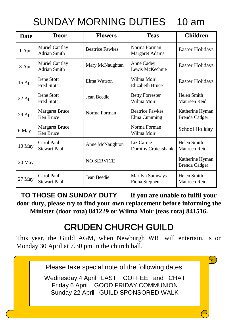## SUNDAY MORNING DUTIES 10 am

| Date   | <b>Door</b>                             | <b>Flowers</b>         | <b>Teas</b>                                             | <b>Children</b>                  |
|--------|-----------------------------------------|------------------------|---------------------------------------------------------|----------------------------------|
| 1 Apr  | Muriel Cantlay<br>Adrian Smith          | <b>Beatrice Fawkes</b> | Norma Forman<br>Margaret Adams                          | Easter Holidays                  |
| 8 Apr  | Muriel Cantlay<br>Adrian Smith          | Mary McNaughtan        | Anne Cadey<br>Lewis McKechnie                           | Easter Holidays                  |
| 15 Apr | <b>Irene Stott</b><br><b>Fred Stott</b> | Elma Watson            | Wilma Moir<br>Easter Holidays<br><b>Elizabeth Bruce</b> |                                  |
| 22 Apr | <b>Irene Stott</b><br><b>Fred Stott</b> | Jean Beedie            | <b>Betty Forrester</b><br>Wilma Moir                    | Helen Smith<br>Maureen Reid      |
| 29 Apr | <b>Margaret Bruce</b><br>Ken Bruce      | Norma Forman           | <b>Beatrice Fawkes</b><br>Elma Cumming                  | Katherine Hyman<br>Brenda Cadger |
| 6 May  | <b>Margaret Bruce</b><br>Ken Bruce      |                        | Norma Forman<br>Wilma Moir                              | School Holiday                   |
| 13 May | Carol Paul<br><b>Stewart Paul</b>       | Anne McNaughton        | Liz Carnie<br>Dorothy Cruickshank                       | Helen Smith<br>Maureen Reid      |
| 20 May |                                         | <b>NO SERVICE</b>      |                                                         | Katherine Hyman<br>Brenda Cadger |
| 27 May | Carol Paul<br><b>Stewart Paul</b>       | Jean Beedie            | <b>Marilyn Samways</b><br>Fiona Stephen                 | Helen Smith<br>Maureen Reid      |

**TO THOSE ON SUNDAY DUTY If you are unable to fulfil your door duty, please try to find your own replacement before informing the Minister (door rota) 841229 or Wilma Moir (teas rota) 841516.**

## CRUDEN CHURCH GUILD

This year, the Guild AGM, when Newburgh WRI will entertain, is on Monday 30 April at 7.30 pm in the church hall.

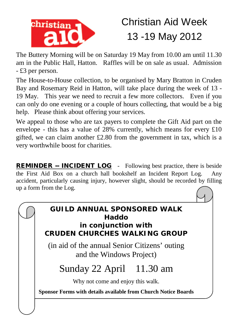

## Christian Aid Week 13 -19 May 2012

The Buttery Morning will be on Saturday 19 May from 10.00 am until 11.30 am in the Public Hall, Hatton. Raffles will be on sale as usual. Admission - £3 per person.

The House-to-House collection, to be organised by Mary Bratton in Cruden Bay and Rosemary Reid in Hatton, will take place during the week of 13 - 19 May. This year we need to recruit a few more collectors. Even if you can only do one evening or a couple of hours collecting, that would be a big help. Please think about offering your services.

We appeal to those who are tax payers to complete the Gift Aid part on the envelope - this has a value of 28% currently, which means for every £10 gifted, we can claim another £2.80 from the government in tax, which is a very worthwhile boost for charities.

REMINDER -- INCIDENT LOG - Following best practice, there is beside the First Aid Box on a church hall bookshelf an Incident Report Log. Any accident, particularly causing injury, however slight, should be recorded by filling up a form from the Log.

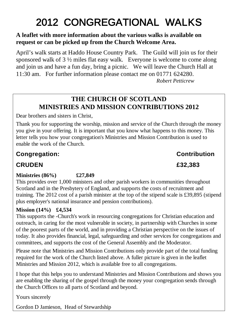## 2012 CONGREGATIONAL WALKS

#### **A leaflet with more information about the various walks is available on request or can be picked up from the Church Welcome Area.**

April's walk starts at Haddo House Country Park. The Guild will join us for their sponsored walk of 3 ½ miles flat easy walk. Everyone is welcome to come along and join us and have a fun day, bring a picnic. We will leave the Church Hall at 11:30 am. For further information please contact me on 01771 624280.

*Robert Petticrew*

#### **THE CHURCH OF SCOTLAND MINISTRIES AND MISSION CONTRIBUTIONS 2012**

Dear brothers and sisters in Christ,

Thank you for supporting the worship, mission and service of the Church through the money you give in your offering. It is important that you know what happens to this money. This letter tells you how your congregation's Ministries and Mission Contribution is used to enable the work of the Church.

#### **Congregation: Contribution**

#### **CRUDEN £32,383**

#### **Ministries (86%) £27,849**

This provides over 1,000 ministers and other parish workers in communities throughout Scotland and in the Presbytery of England, and supports the costs of recruitment and training. The 2012 cost of a parish minister at the top of the stipend scale is £39,895 (stipend plus employer's national insurance and pension contributions).

#### **Mission (14%) £4,534**

This supports the -Church's work in resourcing congregations for Christian education and outreach, in caring for the most vulnerable in society, in partnership with Churches in some of the poorest parts of the world, and in providing a Christian perspective on the issues of today. It also provides financial, legal, safeguarding and other services for congregations and committees, and supports the cost of the General Assembly and the Moderator.

Please note that Ministries and Mission Contributions only provide part of the total funding required for the work of the Church listed above. A fuller picture is given in the leaflet Ministries and Mission 2012, which is available free to all congregations.

I hope that this helps you to understand Ministries and Mission Contributions and shows you are enabling the sharing of the gospel through the money your congregation sends through the Church Offices to all parts of Scotland and beyond.

Yours sincerely

Gordon D Jamieson, Head of Stewardship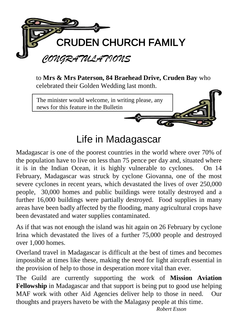

to **Mrs & Mrs Paterson, 84 Braehead Drive, Cruden Bay** who celebrated their Golden Wedding last month.



### Life in Madagascar

Madagascar is one of the poorest countries in the world where over 70% of the population have to live on less than 75 pence per day and, situated where it is in the Indian Ocean, it is highly vulnerable to cyclones. On 14 February, Madagascar was struck by cyclone Giovanna, one of the most severe cyclones in recent years, which devastated the lives of over 250,000 people, 30,000 homes and public buildings were totally destroyed and a further 16,000 buildings were partially destroyed. Food supplies in many areas have been badly affected by the flooding, many agricultural crops have been devastated and water supplies contaminated.

As if that was not enough the island was hit again on 26 February by cyclone Irina which devastated the lives of a further 75,000 people and destroyed over 1,000 homes.

Overland travel in Madagascar is difficult at the best of times and becomes impossible at times like these, making the need for light aircraft essential in the provision of help to those in desperation more vital than ever.

The Guild are currently supporting the work of **Mission Aviation Fellowship** in Madagascar and that support is being put to good use helping MAF work with other Aid Agencies deliver help to those in need. Our thoughts and prayers haveto be with the Malagasy people at this time.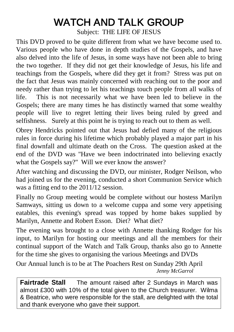## WATCH AND TALK GROUP

Subject: THE LIFE OF JESUS

This DVD proved to be quite different from what we have become used to. Various people who have done in depth studies of the Gospels, and have also delved into the life of Jesus, in some ways have not been able to bring the two together. If they did not get their knowledge of Jesus, his life and teachings from the Gospels, where did they get it from? Stress was put on the fact that Jesus was mainly concerned with reaching out to the poor and needy rather than trying to let his teachings touch people from all walks of life. This is not necessarily what we have been led to believe in the Gospels; there are many times he has distinctly warned that some wealthy people will live to regret letting their lives being ruled by greed and selfishness. Surely at this point he is trying to reach out to them as well.

Obrey Hendricks pointed out that Jesus had defied many of the religious rules in force during his lifetime which probably played a major part in his final downfall and ultimate death on the Cross. The question asked at the end of the DVD was "Have we been indoctrinated into believing exactly what the Gospels say?" Will we ever know the answer?

After watching and discussing the DVD, our minister, Rodger Neilson, who had joined us for the evening, conducted a short Communion Service which was a fitting end to the 2011/12 session.

Finally no Group meeting would be complete without our hostess Marilyn Samways, sitting us down to a welcome cuppa and some very appetising eatables, this evening's spread was topped by home bakes supplied by Marilyn, Annette and Robert Esson. Diet? What diet?

The evening was brought to a close with Annette thanking Rodger for his input, to Marilyn for hosting our meetings and all the members for their continual support of the Watch and Talk Group, thanks also go to Annette for the time she gives to organising the various Meetings and DVDs

Our Annual lunch is to be at The Poachers Rest on Sunday 29th April *Jenny McGarrol*

**Fairtrade Stall** The amount raised after 2 Sundays in March was almost £300 with 10% of the total given to the Church treasurer. Wilma & Beatrice, who were responsible for the stall, are delighted with the total and thank everyone who gave their support.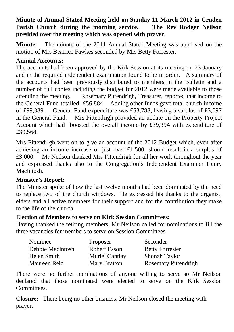#### **Minute of Annual Stated Meeting held on Sunday 11 March 2012 in Cruden Parish Church during the morning service. presided over the meeting which was opened with prayer.**

**Minute:** The minute of the 2011 Annual Stated Meeting was approved on the motion of Mrs Beatrice Fawkes seconded by Mrs Betty Forrester.

#### **Annual Accounts:**

The accounts had been approved by the Kirk Session at its meeting on 23 January and in the required independent examination found to be in order. A summary of the accounts had been previously distributed to members in the Bulletin and a number of full copies including the budget for 2012 were made available to those attending the meeting. Rosemary Pittendrigh, Treasurer, reported that income to the General Fund totalled £56,884. Adding other funds gave total church income of £99,389. General Fund expenditure was £53,788, leaving a surplus of £3,097 in the General Fund. Mrs Pittendrigh provided an update on the Property Project Account which had boosted the overall income by £39,394 with expenditure of £39,564.

Mrs Pittendrigh went on to give an account of the 2012 Budget which, even after achieving an income increase of just over £1,500, should result in a surplus of £3,000. Mr Neilson thanked Mrs Pittendrigh for all her work throughout the year and expressed thanks also to the Congregation's Independent Examiner Henry MacIntosh.

#### **Minister's Report:**

The Minister spoke of how the last twelve months had been dominated by the need to replace two of the church windows. He expressed his thanks to the organist, elders and all active members for their support and for the contribution they make to the life of the church

#### **Election of Members to serve on Kirk Session Committees:**

Having thanked the retiring members, Mr Neilson called for nominations to fill the three vacancies for members to serve on Session Committees.

| Nominee          | Proposer       | Seconder               |
|------------------|----------------|------------------------|
| Debbie MacIntosh | Robert Esson   | <b>Betty Forrester</b> |
| Helen Smith      | Muriel Cantlay | Shonah Taylor          |
| Maureen Reid     | Mary Bratton   | Rosemary Pittendrigh   |

There were no further nominations of anyone willing to serve so Mr Neilson declared that those nominated were elected to serve on the Kirk Session Committees.

**Closure:** There being no other business, Mr Neilson closed the meeting with prayer.